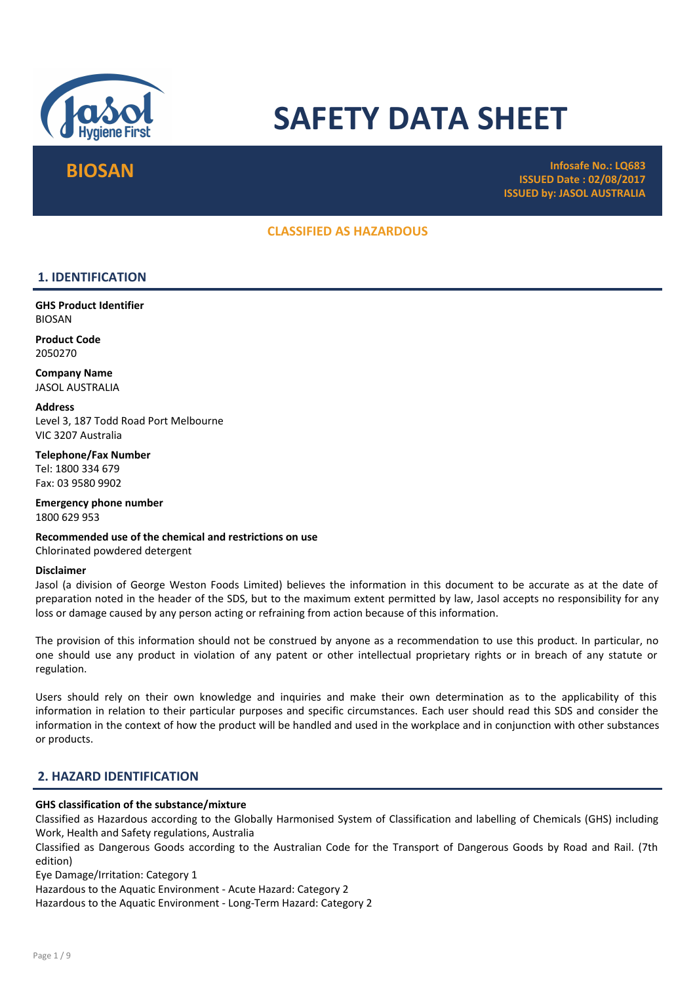

# SAFETY DATA SHEET

 $\mathsf{BIOSAN} \hspace{-0.3cm} \begin{array}{cc} \text{Infosafe No.:} \ \text{LQ683} \ \text{Infosafe No.:} \ \text{LQ683} \ \end{array}$ ISSUED Date : 02/08/2017 ISSUED by: JASOL AUSTRALIA

## CLASSIFIED AS HAZARDOUS

## 1. IDENTIFICATION

GHS Product Identifier BIOSAN

Product Code 2050270

Company Name JASOL AUSTRALIA

**Address** Level 3, 187 Todd Road Port Melbourne VIC 3207 Australia

Telephone/Fax Number Tel: 1800 334 679 Fax: 03 9580 9902

Emergency phone number 1800 629 953

Recommended use of the chemical and restrictions on use Chlorinated powdered detergent

#### Disclaimer

Jasol (a division of George Weston Foods Limited) believes the information in this document to be accurate as at the date of preparation noted in the header of the SDS, but to the maximum extent permitted by law, Jasol accepts no responsibility for any loss or damage caused by any person acting or refraining from action because of this information.

The provision of this information should not be construed by anyone as a recommendation to use this product. In particular, no one should use any product in violation of any patent or other intellectual proprietary rights or in breach of any statute or regulation.

Users should rely on their own knowledge and inquiries and make their own determination as to the applicability of this information in relation to their particular purposes and specific circumstances. Each user should read this SDS and consider the information in the context of how the product will be handled and used in the workplace and in conjunction with other substances or products.

## 2. HAZARD IDENTIFICATION

#### GHS classification of the substance/mixture

Classified as Hazardous according to the Globally Harmonised System of Classification and labelling of Chemicals (GHS) including Work, Health and Safety regulations, Australia

Classified as Dangerous Goods according to the Australian Code for the Transport of Dangerous Goods by Road and Rail. (7th edition)

Eye Damage/Irritation: Category 1

Hazardous to the Aquatic Environment - Acute Hazard: Category 2

Hazardous to the Aquatic Environment - Long-Term Hazard: Category 2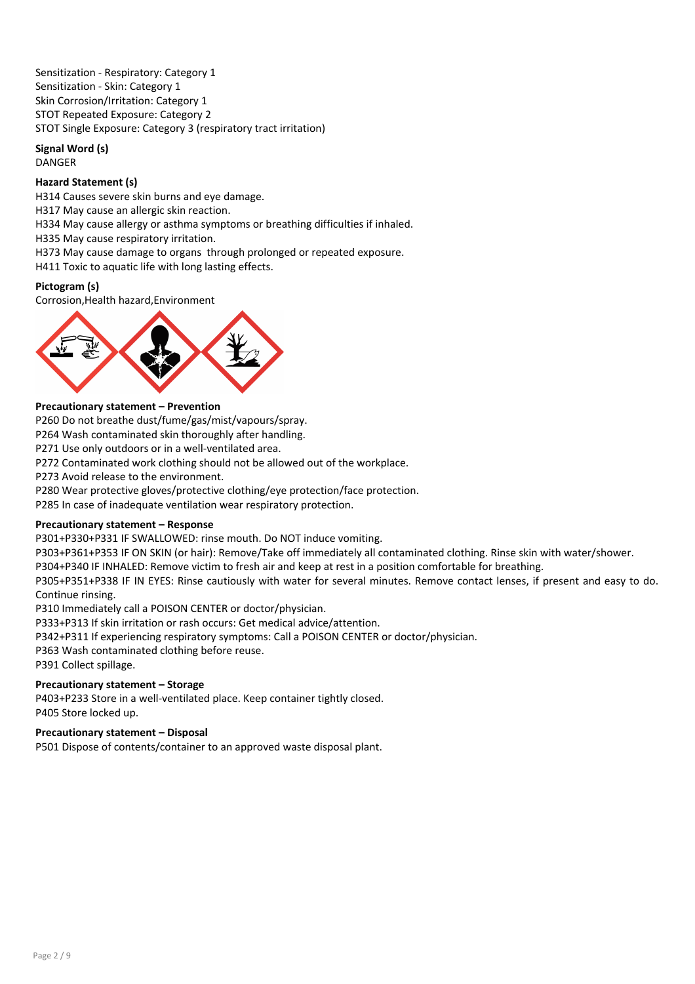Sensitization - Respiratory: Category 1 Sensitization - Skin: Category 1 Skin Corrosion/Irritation: Category 1 STOT Repeated Exposure: Category 2 STOT Single Exposure: Category 3 (respiratory tract irritation)

#### Signal Word (s) DANGER

## Hazard Statement (s)

H314 Causes severe skin burns and eye damage.

H317 May cause an allergic skin reaction.

- H334 May cause allergy or asthma symptoms or breathing difficulties if inhaled.
- H335 May cause respiratory irritation.
- H373 May cause damage to organs through prolonged or repeated exposure.
- H411 Toxic to aquatic life with long lasting effects.

#### Pictogram (s)

Corrosion,Health hazard,Environment



#### Precautionary statement – Prevention

P260 Do not breathe dust/fume/gas/mist/vapours/spray.

P264 Wash contaminated skin thoroughly after handling.

P271 Use only outdoors or in a well-ventilated area.

P272 Contaminated work clothing should not be allowed out of the workplace.

P273 Avoid release to the environment.

P280 Wear protective gloves/protective clothing/eye protection/face protection.

P285 In case of inadequate ventilation wear respiratory protection.

#### Precautionary statement – Response

P301+P330+P331 IF SWALLOWED: rinse mouth. Do NOT induce vomiting.

P303+P361+P353 IF ON SKIN (or hair): Remove/Take off immediately all contaminated clothing. Rinse skin with water/shower.

P304+P340 IF INHALED: Remove victim to fresh air and keep at rest in a position comfortable for breathing.

P305+P351+P338 IF IN EYES: Rinse cautiously with water for several minutes. Remove contact lenses, if present and easy to do. Continue rinsing.

P310 Immediately call a POISON CENTER or doctor/physician.

P333+P313 If skin irritation or rash occurs: Get medical advice/attention.

P342+P311 If experiencing respiratory symptoms: Call a POISON CENTER or doctor/physician.

P363 Wash contaminated clothing before reuse.

P391 Collect spillage.

## Precautionary statement – Storage

P403+P233 Store in a well-ventilated place. Keep container tightly closed. P405 Store locked up.

#### Precautionary statement – Disposal

P501 Dispose of contents/container to an approved waste disposal plant.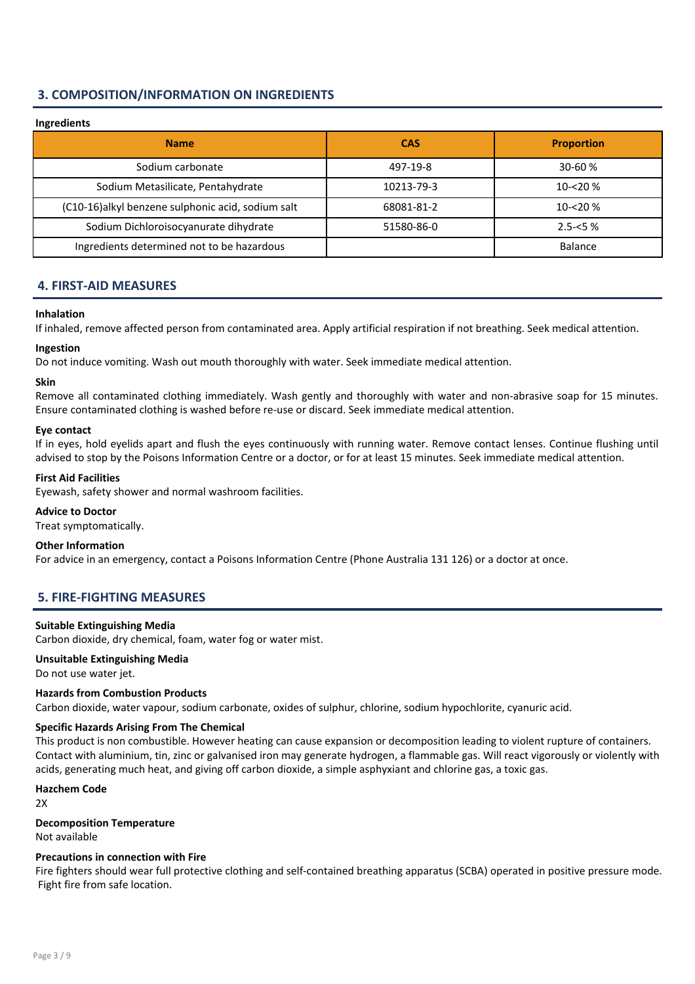## 3. COMPOSITION/INFORMATION ON INGREDIENTS

## Ingredients Name and the case of the case of the case of the case of the case of the case of the case of the case of the c Sodium carbonate 497-19-8 30-60 % Sodium Metasilicate, Pentahydrate 10213-79-3 10-<20 %  $(C10-16)$ alkyl benzene sulphonic acid, sodium salt  $(10-16)$  68081-81-2  $(10-16)$  10-<20 % Sodium Dichloroisocyanurate dihydrate 1980 1991 1991 51580-86-0 2.5-<5 % Ingredients determined not to be hazardous **Balance** Balance

## 4. FIRST-AID MEASURES

#### Inhalation

If inhaled, remove affected person from contaminated area. Apply artificial respiration if not breathing. Seek medical attention.

#### Ingestion

Do not induce vomiting. Wash out mouth thoroughly with water. Seek immediate medical attention.

#### Skin

Remove all contaminated clothing immediately. Wash gently and thoroughly with water and non-abrasive soap for 15 minutes. Ensure contaminated clothing is washed before re-use or discard. Seek immediate medical attention.

#### Eye contact

If in eyes, hold eyelids apart and flush the eyes continuously with running water. Remove contact lenses. Continue flushing until advised to stop by the Poisons Information Centre or a doctor, or for at least 15 minutes. Seek immediate medical attention.

#### First Aid Facilities

Eyewash, safety shower and normal washroom facilities.

#### Advice to Doctor

Treat symptomatically.

#### Other Information

For advice in an emergency, contact a Poisons Information Centre (Phone Australia 131 126) or a doctor at once.

## 5. FIRE-FIGHTING MEASURES

#### Suitable Extinguishing Media

Carbon dioxide, dry chemical, foam, water fog or water mist.

## Unsuitable Extinguishing Media

Do not use water jet.

#### Hazards from Combustion Products

Carbon dioxide, water vapour, sodium carbonate, oxides of sulphur, chlorine, sodium hypochlorite, cyanuric acid.

## Specific Hazards Arising From The Chemical

This product is non combustible. However heating can cause expansion or decomposition leading to violent rupture of containers. Contact with aluminium, tin, zinc or galvanised iron may generate hydrogen, a flammable gas. Will react vigorously or violently with acids, generating much heat, and giving off carbon dioxide, a simple asphyxiant and chlorine gas, a toxic gas.

## Hazchem Code

2X

## Decomposition Temperature Not available

#### Precautions in connection with Fire

Fire fighters should wear full protective clothing and self-contained breathing apparatus (SCBA) operated in positive pressure mode. Fight fire from safe location.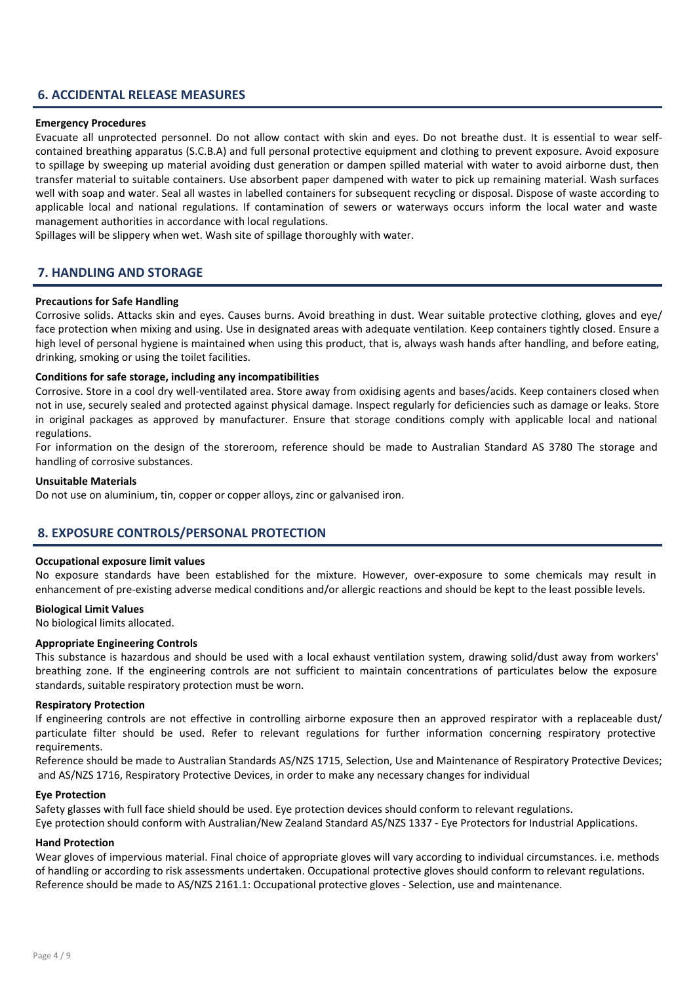## 6. ACCIDENTAL RELEASE MEASURES

#### Emergency Procedures

Evacuate all unprotected personnel. Do not allow contact with skin and eyes. Do not breathe dust. It is essential to wear selfcontained breathing apparatus (S.C.B.A) and full personal protective equipment and clothing to prevent exposure. Avoid exposure to spillage by sweeping up material avoiding dust generation or dampen spilled material with water to avoid airborne dust, then transfer material to suitable containers. Use absorbent paper dampened with water to pick up remaining material. Wash surfaces well with soap and water. Seal all wastes in labelled containers for subsequent recycling or disposal. Dispose of waste according to applicable local and national regulations. If contamination of sewers or waterways occurs inform the local water and waste management authorities in accordance with local regulations.

Spillages will be slippery when wet. Wash site of spillage thoroughly with water.

### 7. HANDLING AND STORAGE

#### Precautions for Safe Handling

Corrosive solids. Attacks skin and eyes. Causes burns. Avoid breathing in dust. Wear suitable protective clothing, gloves and eye/ face protection when mixing and using. Use in designated areas with adequate ventilation. Keep containers tightly closed. Ensure a high level of personal hygiene is maintained when using this product, that is, always wash hands after handling, and before eating, drinking, smoking or using the toilet facilities.

#### Conditions for safe storage, including any incompatibilities

Corrosive. Store in a cool dry well-ventilated area. Store away from oxidising agents and bases/acids. Keep containers closed when not in use, securely sealed and protected against physical damage. Inspect regularly for deficiencies such as damage or leaks. Store in original packages as approved by manufacturer. Ensure that storage conditions comply with applicable local and national regulations.

For information on the design of the storeroom, reference should be made to Australian Standard AS 3780 The storage and handling of corrosive substances.

#### Unsuitable Materials

Do not use on aluminium, tin, copper or copper alloys, zinc or galvanised iron.

## 8. EXPOSURE CONTROLS/PERSONAL PROTECTION

#### Occupational exposure limit values

No exposure standards have been established for the mixture. However, over-exposure to some chemicals may result in enhancement of pre-existing adverse medical conditions and/or allergic reactions and should be kept to the least possible levels.

#### Biological Limit Values

No biological limits allocated.

#### Appropriate Engineering Controls

This substance is hazardous and should be used with a local exhaust ventilation system, drawing solid/dust away from workers' breathing zone. If the engineering controls are not sufficient to maintain concentrations of particulates below the exposure standards, suitable respiratory protection must be worn.

#### Respiratory Protection

If engineering controls are not effective in controlling airborne exposure then an approved respirator with a replaceable dust/ particulate filter should be used. Refer to relevant regulations for further information concerning respiratory protective requirements.

Reference should be made to Australian Standards AS/NZS 1715, Selection, Use and Maintenance of Respiratory Protective Devices; and AS/NZS 1716, Respiratory Protective Devices, in order to make any necessary changes for individual

#### Eye Protection

Safety glasses with full face shield should be used. Eye protection devices should conform to relevant regulations. Eye protection should conform with Australian/New Zealand Standard AS/NZS 1337 - Eye Protectors for Industrial Applications.

#### Hand Protection

Wear gloves of impervious material. Final choice of appropriate gloves will vary according to individual circumstances. i.e. methods of handling or according to risk assessments undertaken. Occupational protective gloves should conform to relevant regulations. Reference should be made to AS/NZS 2161.1: Occupational protective gloves - Selection, use and maintenance.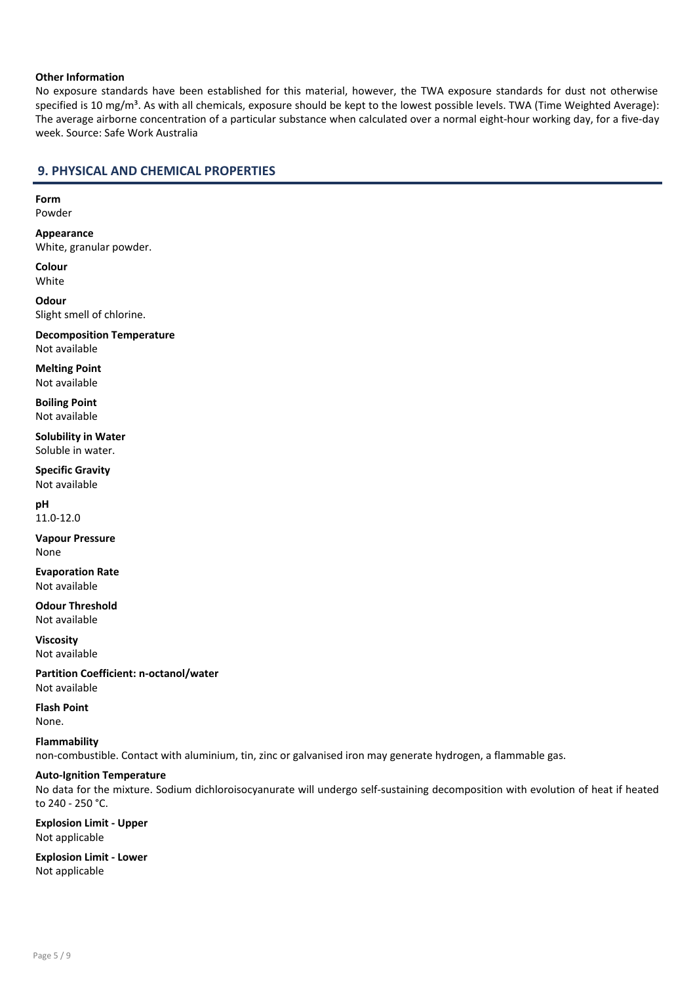#### Other Information

No exposure standards have been established for this material, however, the TWA exposure standards for dust not otherwise specified is 10 mg/m<sup>3</sup>. As with all chemicals, exposure should be kept to the lowest possible levels. TWA (Time Weighted Average): The average airborne concentration of a particular substance when calculated over a normal eight-hour working day, for a five-day week. Source: Safe Work Australia

## 9. PHYSICAL AND CHEMICAL PROPERTIES

#### Form Powder

Appearance White, granular powder.

Colour White

**Odour** Slight smell of chlorine.

Decomposition Temperature Not available

Melting Point Not available

Boiling Point Not available

Solubility in Water Soluble in water.

Specific Gravity Not available

pH 11.0-12.0

Vapour Pressure None

Evaporation Rate Not available

Odour Threshold Not available

Viscosity Not available

Partition Coefficient: n-octanol/water Not available

Flash Point

None.

Flammability

non-combustible. Contact with aluminium, tin, zinc or galvanised iron may generate hydrogen, a flammable gas.

## Auto-Ignition Temperature

No data for the mixture. Sodium dichloroisocyanurate will undergo self-sustaining decomposition with evolution of heat if heated to 240 - 250 °C.

Explosion Limit - Upper Not applicable

Explosion Limit - Lower Not applicable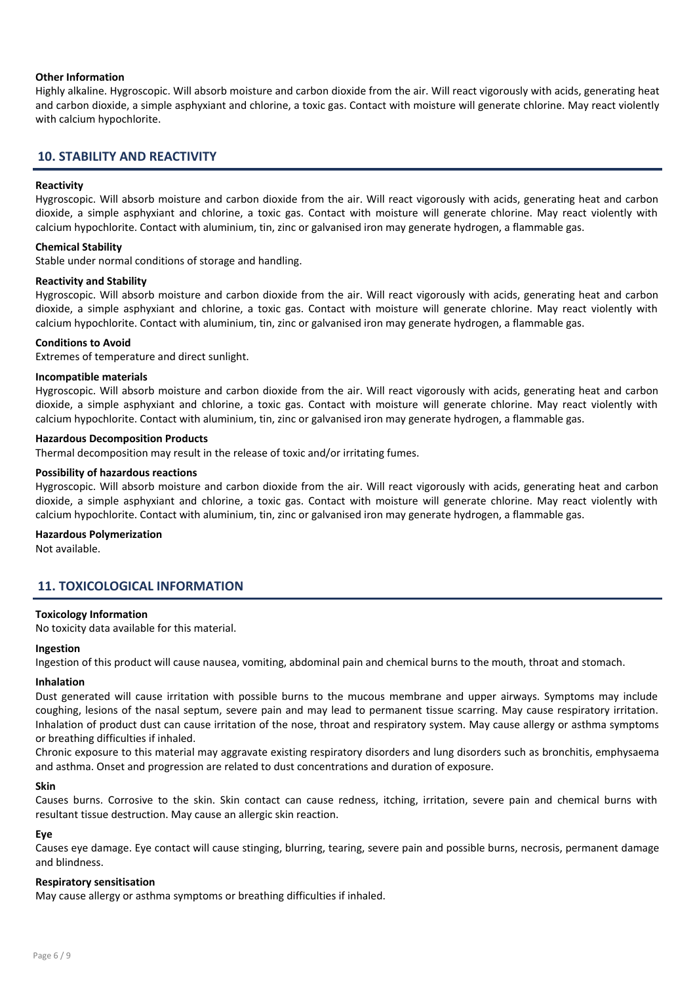#### Other Information

Highly alkaline. Hygroscopic. Will absorb moisture and carbon dioxide from the air. Will react vigorously with acids, generating heat and carbon dioxide, a simple asphyxiant and chlorine, a toxic gas. Contact with moisture will generate chlorine. May react violently with calcium hypochlorite.

### 10. STABILITY AND REACTIVITY

#### Reactivity

Hygroscopic. Will absorb moisture and carbon dioxide from the air. Will react vigorously with acids, generating heat and carbon dioxide, a simple asphyxiant and chlorine, a toxic gas. Contact with moisture will generate chlorine. May react violently with calcium hypochlorite. Contact with aluminium, tin, zinc or galvanised iron may generate hydrogen, a flammable gas.

#### Chemical Stability

Stable under normal conditions of storage and handling.

#### Reactivity and Stability

Hygroscopic. Will absorb moisture and carbon dioxide from the air. Will react vigorously with acids, generating heat and carbon dioxide, a simple asphyxiant and chlorine, a toxic gas. Contact with moisture will generate chlorine. May react violently with calcium hypochlorite. Contact with aluminium, tin, zinc or galvanised iron may generate hydrogen, a flammable gas.

#### Conditions to Avoid

Extremes of temperature and direct sunlight.

#### Incompatible materials

Hygroscopic. Will absorb moisture and carbon dioxide from the air. Will react vigorously with acids, generating heat and carbon dioxide, a simple asphyxiant and chlorine, a toxic gas. Contact with moisture will generate chlorine. May react violently with calcium hypochlorite. Contact with aluminium, tin, zinc or galvanised iron may generate hydrogen, a flammable gas.

#### Hazardous Decomposition Products

Thermal decomposition may result in the release of toxic and/or irritating fumes.

#### Possibility of hazardous reactions

Hygroscopic. Will absorb moisture and carbon dioxide from the air. Will react vigorously with acids, generating heat and carbon dioxide, a simple asphyxiant and chlorine, a toxic gas. Contact with moisture will generate chlorine. May react violently with calcium hypochlorite. Contact with aluminium, tin, zinc or galvanised iron may generate hydrogen, a flammable gas.

#### Hazardous Polymerization

Not available.

## 11. TOXICOLOGICAL INFORMATION

#### Toxicology Information

No toxicity data available for this material.

#### Ingestion

Ingestion of this product will cause nausea, vomiting, abdominal pain and chemical burns to the mouth, throat and stomach.

#### Inhalation

Dust generated will cause irritation with possible burns to the mucous membrane and upper airways. Symptoms may include coughing, lesions of the nasal septum, severe pain and may lead to permanent tissue scarring. May cause respiratory irritation. Inhalation of product dust can cause irritation of the nose, throat and respiratory system. May cause allergy or asthma symptoms or breathing difficulties if inhaled.

Chronic exposure to this material may aggravate existing respiratory disorders and lung disorders such as bronchitis, emphysaema and asthma. Onset and progression are related to dust concentrations and duration of exposure.

#### Skin

Causes burns. Corrosive to the skin. Skin contact can cause redness, itching, irritation, severe pain and chemical burns with resultant tissue destruction. May cause an allergic skin reaction.

#### Eye

Causes eye damage. Eye contact will cause stinging, blurring, tearing, severe pain and possible burns, necrosis, permanent damage and blindness.

#### Respiratory sensitisation

May cause allergy or asthma symptoms or breathing difficulties if inhaled.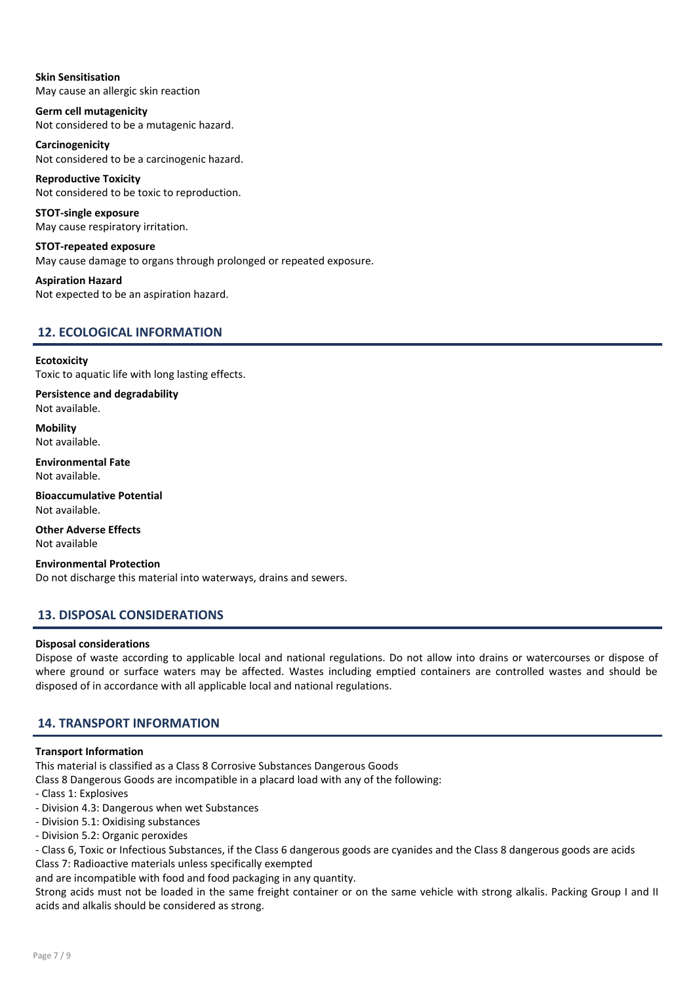Skin Sensitisation May cause an allergic skin reaction

Germ cell mutagenicity Not considered to be a mutagenic hazard.

Carcinogenicity Not considered to be a carcinogenic hazard.

Reproductive Toxicity Not considered to be toxic to reproduction.

STOT-single exposure May cause respiratory irritation.

STOT-repeated exposure May cause damage to organs through prolonged or repeated exposure.

Aspiration Hazard Not expected to be an aspiration hazard.

## 12. ECOLOGICAL INFORMATION

**Ecotoxicity** Toxic to aquatic life with long lasting effects.

Persistence and degradability Not available.

**Mobility** Not available.

Environmental Fate Not available.

Bioaccumulative Potential Not available.

Other Adverse Effects Not available

Environmental Protection Do not discharge this material into waterways, drains and sewers.

## 13. DISPOSAL CONSIDERATIONS

#### Disposal considerations

Dispose of waste according to applicable local and national regulations. Do not allow into drains or watercourses or dispose of where ground or surface waters may be affected. Wastes including emptied containers are controlled wastes and should be disposed of in accordance with all applicable local and national regulations.

## 14. TRANSPORT INFORMATION

#### Transport Information

This material is classified as a Class 8 Corrosive Substances Dangerous Goods

- Class 8 Dangerous Goods are incompatible in a placard load with any of the following:
- Class 1: Explosives
- Division 4.3: Dangerous when wet Substances
- Division 5.1: Oxidising substances
- Division 5.2: Organic peroxides

- Class 6, Toxic or Infectious Substances, if the Class 6 dangerous goods are cyanides and the Class 8 dangerous goods are acids Class 7: Radioactive materials unless specifically exempted

and are incompatible with food and food packaging in any quantity.

Strong acids must not be loaded in the same freight container or on the same vehicle with strong alkalis. Packing Group I and II acids and alkalis should be considered as strong.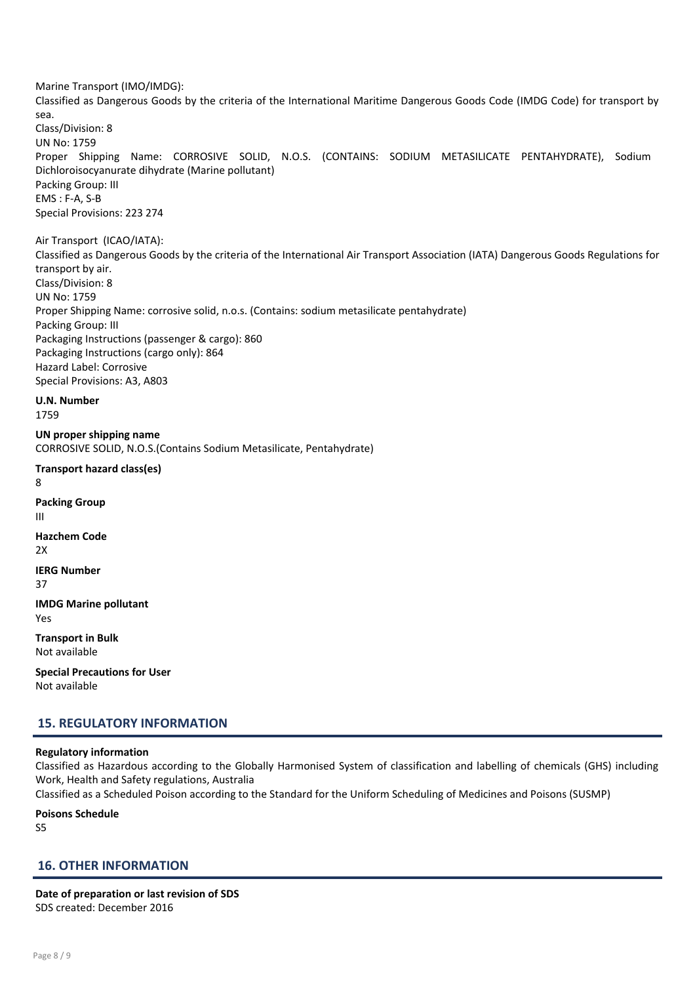Marine Transport (IMO/IMDG):

Classified as Dangerous Goods by the criteria of the International Maritime Dangerous Goods Code (IMDG Code) for transport by sea.

Class/Division: 8 UN No: 1759 Proper Shipping Name: CORROSIVE SOLID, N.O.S. (CONTAINS: SODIUM METASILICATE PENTAHYDRATE), Sodium Dichloroisocyanurate dihydrate (Marine pollutant) Packing Group: III EMS : F-A, S-B Special Provisions: 223 274

Air Transport (ICAO/IATA):

Classified as Dangerous Goods by the criteria of the International Air Transport Association (IATA) Dangerous Goods Regulations for transport by air. Class/Division: 8 UN No: 1759 Proper Shipping Name: corrosive solid, n.o.s. (Contains: sodium metasilicate pentahydrate)

Packing Group: III Packaging Instructions (passenger & cargo): 860 Packaging Instructions (cargo only): 864 Hazard Label: Corrosive

Special Provisions: A3, A803

U.N. Number

1759

UN proper shipping name CORROSIVE SOLID, N.O.S.(Contains Sodium Metasilicate, Pentahydrate)

Transport hazard class(es) 8 Packing Group

III Hazchem Code 2X

IERG Number

37

IMDG Marine pollutant Yes

Transport in Bulk Not available

Special Precautions for User Not available

## 15. REGULATORY INFORMATION

#### Regulatory information

Classified as Hazardous according to the Globally Harmonised System of classification and labelling of chemicals (GHS) including Work, Health and Safety regulations, Australia

Classified as a Scheduled Poison according to the Standard for the Uniform Scheduling of Medicines and Poisons (SUSMP)

Poisons Schedule

 $55$ 

## 16. OTHER INFORMATION

Date of preparation or last revision of SDS SDS created: December 2016